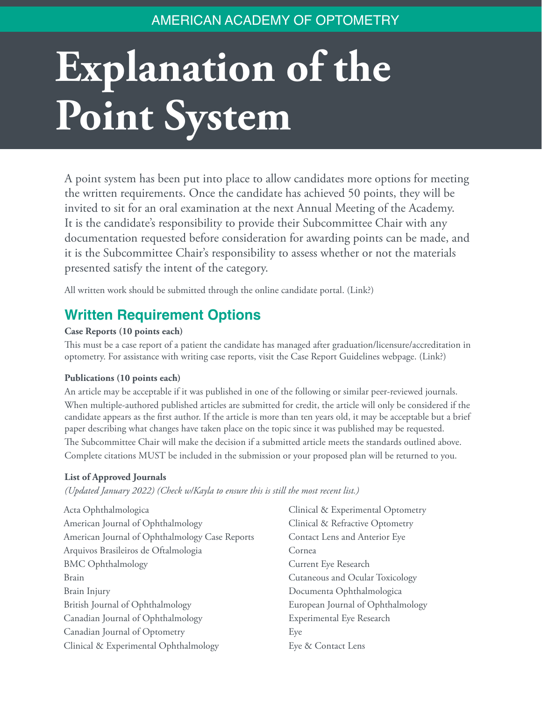# AMERICAN ACADEMY OF OPTOMETRY

# **Explanation of the Point System**

A point system has been put into place to allow candidates more options for meeting the written requirements. Once the candidate has achieved 50 points, they will be invited to sit for an oral examination at the next Annual Meeting of the Academy. It is the candidate's responsibility to provide their Subcommittee Chair with any documentation requested before consideration for awarding points can be made, and it is the Subcommittee Chair's responsibility to assess whether or not the materials presented satisfy the intent of the category.

All written work should be submitted through the online candidate portal. (Link?)

# **Written Requirement Options**

#### **Case Reports (10 points each)**

This must be a case report of a patient the candidate has managed after graduation/licensure/accreditation in optometry. For assistance with writing case reports, visit the Case Report Guidelines webpage. (Link?)

#### **Publications (10 points each)**

An article may be acceptable if it was published in one of the following or similar peer-reviewed journals. When multiple-authored published articles are submitted for credit, the article will only be considered if the candidate appears as the first author. If the article is more than ten years old, it may be acceptable but a brief paper describing what changes have taken place on the topic since it was published may be requested. The Subcommittee Chair will make the decision if a submitted article meets the standards outlined above. Complete citations MUST be included in the submission or your proposed plan will be returned to you.

#### **List of Approved Journals**

*(Updated January 2022) (Check w/Kayla to ensure this is still the most recent list.)*

| Acta Ophthalmologica                           | Clinical & Experimental Optometry |
|------------------------------------------------|-----------------------------------|
| American Journal of Ophthalmology              | Clinical & Refractive Optometry   |
| American Journal of Ophthalmology Case Reports | Contact Lens and Anterior Eye     |
| Arquivos Brasileiros de Oftalmologia           | Cornea                            |
| <b>BMC</b> Ophthalmology                       | Current Eye Research              |
| <b>Brain</b>                                   | Cutaneous and Ocular Toxicology   |
| Brain Injury                                   | Documenta Ophthalmologica         |
| British Journal of Ophthalmology               | European Journal of Ophthalmology |
| Canadian Journal of Ophthalmology              | Experimental Eye Research         |
| Canadian Journal of Optometry                  | Eye                               |
| Clinical & Experimental Ophthalmology          | Eye & Contact Lens                |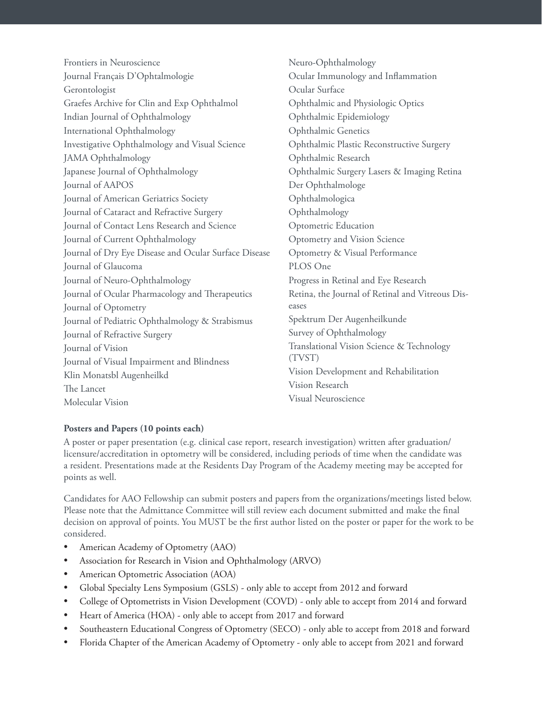Frontiers in Neuroscience Journal Français D'Ophtalmologie Gerontologist Graefes Archive for Clin and Exp Ophthalmol Indian Journal of Ophthalmology International Ophthalmology Investigative Ophthalmology and Visual Science JAMA Ophthalmology Japanese Journal of Ophthalmology Journal of AAPOS Journal of American Geriatrics Society Journal of Cataract and Refractive Surgery Journal of Contact Lens Research and Science Journal of Current Ophthalmology Journal of Dry Eye Disease and Ocular Surface Disease Journal of Glaucoma Journal of Neuro-Ophthalmology Journal of Ocular Pharmacology and Therapeutics Journal of Optometry Journal of Pediatric Ophthalmology & Strabismus Journal of Refractive Surgery Journal of Vision Journal of Visual Impairment and Blindness Klin Monatsbl Augenheilkd The Lancet Molecular Vision

Neuro-Ophthalmology Ocular Immunology and Inflammation Ocular Surface Ophthalmic and Physiologic Optics Ophthalmic Epidemiology Ophthalmic Genetics Ophthalmic Plastic Reconstructive Surgery Ophthalmic Research Ophthalmic Surgery Lasers & Imaging Retina Der Ophthalmologe Ophthalmologica Ophthalmology Optometric Education Optometry and Vision Science Optometry & Visual Performance PLOS One Progress in Retinal and Eye Research Retina, the Journal of Retinal and Vitreous Diseases Spektrum Der Augenheilkunde Survey of Ophthalmology Translational Vision Science & Technology (TVST) Vision Development and Rehabilitation Vision Research Visual Neuroscience

# **Posters and Papers (10 points each)**

A poster or paper presentation (e.g. clinical case report, research investigation) written after graduation/ licensure/accreditation in optometry will be considered, including periods of time when the candidate was a resident. Presentations made at the Residents Day Program of the Academy meeting may be accepted for points as well.

Candidates for AAO Fellowship can submit posters and papers from the organizations/meetings listed below. Please note that the Admittance Committee will still review each document submitted and make the final decision on approval of points. You MUST be the first author listed on the poster or paper for the work to be considered.

- American Academy of Optometry (AAO)
- Association for Research in Vision and Ophthalmology (ARVO)
- American Optometric Association (AOA)
- Global Specialty Lens Symposium (GSLS) only able to accept from 2012 and forward
- College of Optometrists in Vision Development (COVD) only able to accept from 2014 and forward
- Heart of America (HOA) only able to accept from 2017 and forward
- Southeastern Educational Congress of Optometry (SECO) only able to accept from 2018 and forward
- Florida Chapter of the American Academy of Optometry only able to accept from 2021 and forward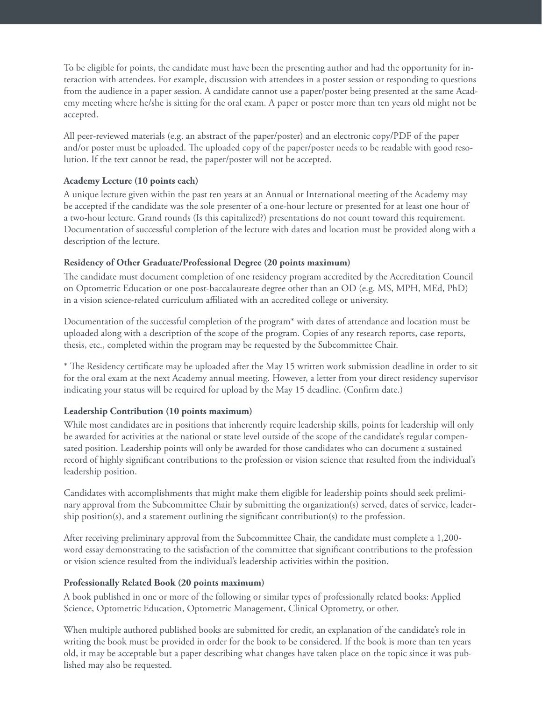To be eligible for points, the candidate must have been the presenting author and had the opportunity for interaction with attendees. For example, discussion with attendees in a poster session or responding to questions from the audience in a paper session. A candidate cannot use a paper/poster being presented at the same Academy meeting where he/she is sitting for the oral exam. A paper or poster more than ten years old might not be accepted.

All peer-reviewed materials (e.g. an abstract of the paper/poster) and an electronic copy/PDF of the paper and/or poster must be uploaded. The uploaded copy of the paper/poster needs to be readable with good resolution. If the text cannot be read, the paper/poster will not be accepted.

# **Academy Lecture (10 points each)**

A unique lecture given within the past ten years at an Annual or International meeting of the Academy may be accepted if the candidate was the sole presenter of a one-hour lecture or presented for at least one hour of a two-hour lecture. Grand rounds (Is this capitalized?) presentations do not count toward this requirement. Documentation of successful completion of the lecture with dates and location must be provided along with a description of the lecture.

#### **Residency of Other Graduate/Professional Degree (20 points maximum)**

The candidate must document completion of one residency program accredited by the Accreditation Council on Optometric Education or one post-baccalaureate degree other than an OD (e.g. MS, MPH, MEd, PhD) in a vision science-related curriculum affiliated with an accredited college or university.

Documentation of the successful completion of the program\* with dates of attendance and location must be uploaded along with a description of the scope of the program. Copies of any research reports, case reports, thesis, etc., completed within the program may be requested by the Subcommittee Chair.

\* The Residency certificate may be uploaded after the May 15 written work submission deadline in order to sit for the oral exam at the next Academy annual meeting. However, a letter from your direct residency supervisor indicating your status will be required for upload by the May 15 deadline. (Confirm date.)

# **Leadership Contribution (10 points maximum)**

While most candidates are in positions that inherently require leadership skills, points for leadership will only be awarded for activities at the national or state level outside of the scope of the candidate's regular compensated position. Leadership points will only be awarded for those candidates who can document a sustained record of highly significant contributions to the profession or vision science that resulted from the individual's leadership position.

Candidates with accomplishments that might make them eligible for leadership points should seek preliminary approval from the Subcommittee Chair by submitting the organization(s) served, dates of service, leadership position(s), and a statement outlining the significant contribution(s) to the profession.

After receiving preliminary approval from the Subcommittee Chair, the candidate must complete a 1,200 word essay demonstrating to the satisfaction of the committee that significant contributions to the profession or vision science resulted from the individual's leadership activities within the position.

#### **Professionally Related Book (20 points maximum)**

A book published in one or more of the following or similar types of professionally related books: Applied Science, Optometric Education, Optometric Management, Clinical Optometry, or other.

When multiple authored published books are submitted for credit, an explanation of the candidate's role in writing the book must be provided in order for the book to be considered. If the book is more than ten years old, it may be acceptable but a paper describing what changes have taken place on the topic since it was published may also be requested.